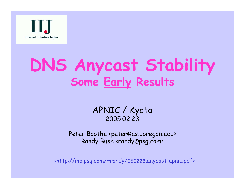

## **DNS Anycast Stability Some Early Results**

#### APNIC / Kyoto 2005.02.23

Peter Boothe <peter @cs.uoregon.edu> Randy Bush <randy@psg.com>

<http://rip.psg.com/~randy/050223.anycast-apnic.pdf>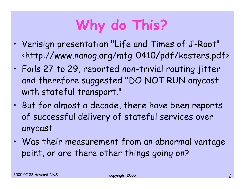# **Why do This?**

- • Verisign presentation "Life and Times of J-Root" <http://www.nanog.org/mtg-0410/pdf/kosters.pdf>
- • Foils 27 to 29, reported non-trivial routing jitter and therefore suggested "DO NOT RUN anycast with stateful transport."
- • But for almost a decade, there have been reports of successful delivery of stateful services over anycast
- • Was their measurement from an abnormal vantage point, or are there other things going on?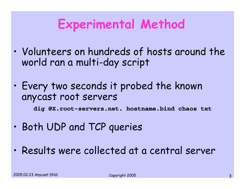#### **Experimental Method**

- • Volunteers on hundreds of hosts around the world ran a multi-day script
- • Every two seconds it probed the known anycast root servers

**dig @X.root-servers.net. hostname.bind chaos txt**

- •Both UDP and TCP queries
- $\bullet$ Results were collected at a central server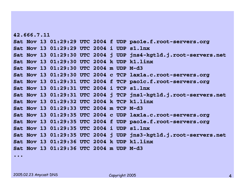**42.666.7.11Sat Nov 13 01:29:29 UTC 2004 f UDP pao1e.f.root-servers.org Sat Nov 13 01:29:29 UTC 2004 i UDP s1.lnxSat Nov 13 01:29:30 UTC 2004 j UDP jns4-kgtld.j.root-servers.net Sat Nov 13 01:29:30 UTC 2004 k UDP k1.linxSat Nov 13 01:29:30 UTC 2004 m UDP M-d3Sat Nov 13 01:29:30 UTC 2004 c TCP lax1a.c.root-servers.org Sat Nov 13 01:29:31 UTC 2004 f TCP pao1c.f.root-servers.org Sat Nov 13 01:29:31 UTC 2004 i TCP s1.lnxSat Nov 13 01:29:31 UTC 2004 j TCP jns1-kgtld.j.root-servers.net Sat Nov 13 01:29:32 UTC 2004 k TCP k1.linxSat Nov 13 01:29:33 UTC 2004 m TCP M-d3Sat Nov 13 01:29:35 UTC 2004 c UDP lax1a.c.root-servers.org Sat Nov 13 01:29:35 UTC 2004 f UDP pao1e.f.root-servers.org Sat Nov 13 01:29:35 UTC 2004 i UDP s1.lnxSat Nov 13 01:29:35 UTC 2004 j UDP jns3-kgtld.j.root-servers.net Sat Nov 13 01:29:36 UTC 2004 k UDP k1.linxSat Nov 13 01:29:36 UTC 2004 m UDP M-d3**

**...**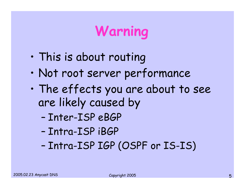## **Warning**

- •This is about routing
- •Not root server performance
- • The effects you are about to see are likely caused by
	- –Inter-ISP eBGP
	- –Intra-ISP iBGP
	- –Intra-ISP IGP (OSPF or IS-IS)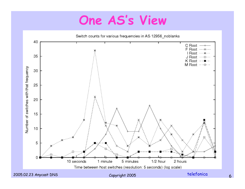#### **One AS's View**

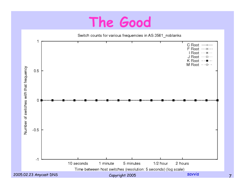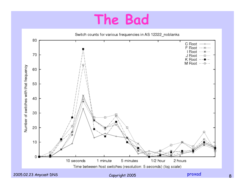

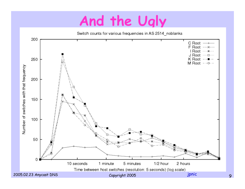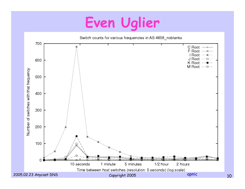## Even Uglier

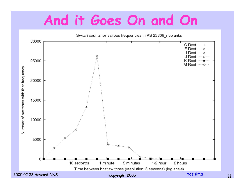### And it Goes On and On

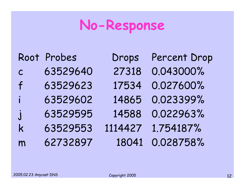## **No-Response**

|                    | Root Probes | Drops   | <b>Percent Drop</b> |
|--------------------|-------------|---------|---------------------|
| $\mathcal{C}$      | 63529640    | 27318   | 0.043000%           |
| $\mathsf{f}$       | 63529623    | 17534   | 0.027600%           |
| i.                 | 63529602    | 14865   | 0.023399%           |
| $\dot{\mathbf{J}}$ | 63529595    | 14588   | 0.022963%           |
| k                  | 63529553    | 1114427 | 1.754187%           |
| m                  | 62732897    | 18041   | 0.028758%           |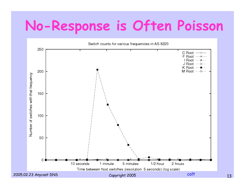## **No-Response is Often Poisson**

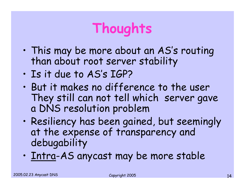## **Thoughts**

- • This may be more about an AS's routing than about root server stability
- •Is it due to AS's IGP?
- $\bullet$  But it makes no difference to the user They still can not tell which server gave a DNS resolution problem
- • Resiliency has been gained, but seemingly at the expense of transparency and debugability
- •Intra-AS anycast may be more stable